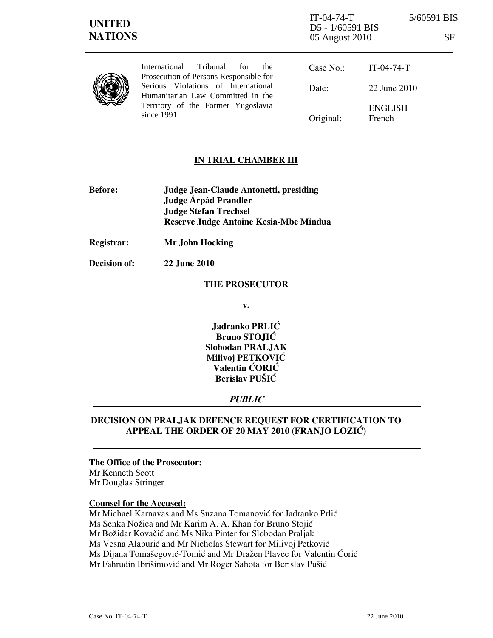| <b>UNITED</b><br><b>NATIONS</b> |                                                                                                                                                                                                                     | $IT-04-74-T$<br>D5 - 1/60591 BIS<br>05 August 2010 | 5/60591 BIS<br><b>SF</b> |
|---------------------------------|---------------------------------------------------------------------------------------------------------------------------------------------------------------------------------------------------------------------|----------------------------------------------------|--------------------------|
|                                 | Tribunal<br>International<br>for<br>the<br>Prosecution of Persons Responsible for<br>Serious Violations of International<br>Humanitarian Law Committed in the<br>Territory of the Former Yugoslavia<br>since $1991$ | Case No.:                                          | $IT-04-74-T$             |
|                                 |                                                                                                                                                                                                                     | Date:                                              | 22 June 2010             |
|                                 |                                                                                                                                                                                                                     | Original:                                          | <b>ENGLISH</b><br>French |

### IN TRIAL CHAMBER III

- Before: Judge Jean-Claude Antonetti, presiding Judge **Árpád Prandler**  Judge Stefan Trechsel Reserve Judge Antoine Kesia-Mbe Mindua
- Registrar: Mr John Hocking

Decision of: 22 June 2010

#### THE PROSECUTOR

v.

Jadranko PRLIĆ Bruno STOJIĆ Slobodan PRALJAK Milivoj PETKOVIĆ Valentin ĆORIĆ Berislav PUŠIĆ

#### PUBLIC

## DECISION ON PRALJAK DEFENCE REQUEST FOR CERTIFICATION TO APPEAL THE ORDER OF 20 MAY 2010 (FRANJO LOZIĆ)

# The Office of the Prosecutor:

Mr Kenneth Scott Mr Douglas Stringer

#### Counsel for the Accused:

Mr Michael Karnavas and Ms Suzana Tomanović for Jadranko Prlić Ms Senka Nožica and Mr Karim A. A. Khan for Bruno Stojić Mr Božidar Kovačić and Ms Nika Pinter for Slobodan Praljak Ms Vesna Alaburić and Mr Nicholas Stewart for Milivoj Petković Ms Dijana Tomašegović-Tomić and Mr Dražen Plavec for Valentin Ćorić Mr Fahrudin Ibrišimović and Mr Roger Sahota for Berislav Pušić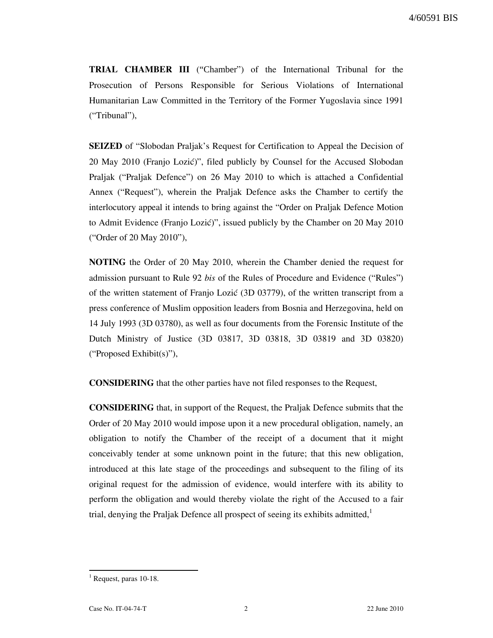TRIAL CHAMBER III ("Chamber") of the International Tribunal for the Prosecution of Persons Responsible for Serious Violations of International Humanitarian Law Committed in the Territory of the Former Yugoslavia since 1991 ("Tribunal"),

SEIZED of "Slobodan Praljak's Request for Certification to Appeal the Decision of 20 May 2010 (Franjo Lozić)", filed publicly by Counsel for the Accused Slobodan Praljak ("Praljak Defence") on 26 May 2010 to which is attached a Confidential Annex ("Request"), wherein the Praljak Defence asks the Chamber to certify the interlocutory appeal it intends to bring against the "Order on Praljak Defence Motion to Admit Evidence (Franjo Lozić)", issued publicly by the Chamber on 20 May 2010 ("Order of 20 May 2010"),

NOTING the Order of 20 May 2010, wherein the Chamber denied the request for admission pursuant to Rule 92 bis of the Rules of Procedure and Evidence ("Rules") of the written statement of Franjo Lozić (3D 03779), of the written transcript from a press conference of Muslim opposition leaders from Bosnia and Herzegovina, held on 14 July 1993 (3D 03780), as well as four documents from the Forensic Institute of the Dutch Ministry of Justice (3D 03817, 3D 03818, 3D 03819 and 3D 03820) ("Proposed Exhibit(s)"),

CONSIDERING that the other parties have not filed responses to the Request,

CONSIDERING that, in support of the Request, the Praljak Defence submits that the Order of 20 May 2010 would impose upon it a new procedural obligation, namely, an obligation to notify the Chamber of the receipt of a document that it might conceivably tender at some unknown point in the future; that this new obligation, introduced at this late stage of the proceedings and subsequent to the filing of its original request for the admission of evidence, would interfere with its ability to perform the obligation and would thereby violate the right of the Accused to a fair trial, denying the Praljak Defence all prospect of seeing its exhibits admitted, $<sup>1</sup>$ </sup>

 $\overline{a}$ 

<sup>&</sup>lt;sup>1</sup> Request, paras 10-18.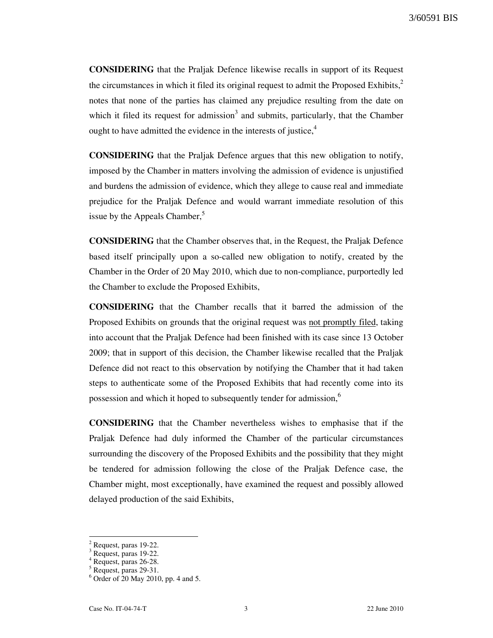CONSIDERING that the Praljak Defence likewise recalls in support of its Request the circumstances in which it filed its original request to admit the Proposed Exhibits, $2<sup>2</sup>$ notes that none of the parties has claimed any prejudice resulting from the date on which it filed its request for admission<sup>3</sup> and submits, particularly, that the Chamber ought to have admitted the evidence in the interests of justice, $4\overline{ }$ 

CONSIDERING that the Praljak Defence argues that this new obligation to notify, imposed by the Chamber in matters involving the admission of evidence is unjustified and burdens the admission of evidence, which they allege to cause real and immediate prejudice for the Praljak Defence and would warrant immediate resolution of this issue by the Appeals Chamber, $\delta$ 

CONSIDERING that the Chamber observes that, in the Request, the Praljak Defence based itself principally upon a so-called new obligation to notify, created by the Chamber in the Order of 20 May 2010, which due to non-compliance, purportedly led the Chamber to exclude the Proposed Exhibits,

CONSIDERING that the Chamber recalls that it barred the admission of the Proposed Exhibits on grounds that the original request was not promptly filed, taking into account that the Praljak Defence had been finished with its case since 13 October 2009; that in support of this decision, the Chamber likewise recalled that the Praljak Defence did not react to this observation by notifying the Chamber that it had taken steps to authenticate some of the Proposed Exhibits that had recently come into its possession and which it hoped to subsequently tender for admission,  $6\%$ 

CONSIDERING that the Chamber nevertheless wishes to emphasise that if the Praljak Defence had duly informed the Chamber of the particular circumstances surrounding the discovery of the Proposed Exhibits and the possibility that they might be tendered for admission following the close of the Praljak Defence case, the Chamber might, most exceptionally, have examined the request and possibly allowed delayed production of the said Exhibits,

 $\overline{a}$ 

<sup>2</sup> Request, paras 19-22.

<sup>&</sup>lt;sup>3</sup> Request, paras 19-22.

<sup>4</sup> Request, paras 26-28.

<sup>5</sup> Request, paras 29-31.

<sup>6</sup> Order of 20 May 2010, pp. 4 and 5.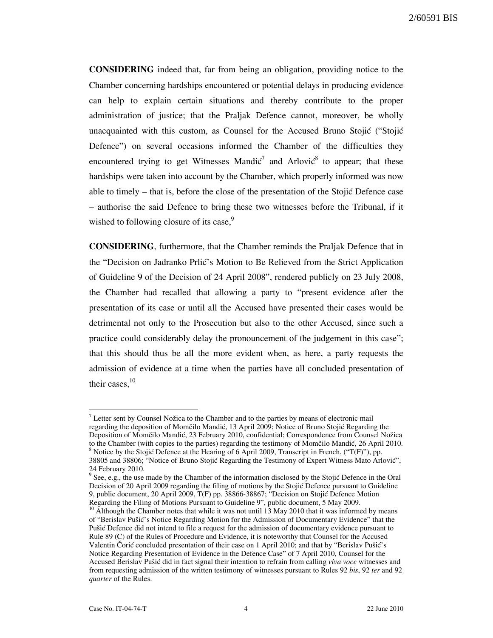CONSIDERING indeed that, far from being an obligation, providing notice to the Chamber concerning hardships encountered or potential delays in producing evidence can help to explain certain situations and thereby contribute to the proper administration of justice; that the Praljak Defence cannot, moreover, be wholly unacquainted with this custom, as Counsel for the Accused Bruno Stojić ("Stojić" Defence") on several occasions informed the Chamber of the difficulties they encountered trying to get Witnesses Mandi $\zeta^7$  and Arlovi $\zeta^8$  to appear; that these hardships were taken into account by the Chamber, which properly informed was now able to timely  $-$  that is, before the close of the presentation of the Stojić Defence case – authorise the said Defence to bring these two witnesses before the Tribunal, if it wished to following closure of its case,<sup>9</sup>

CONSIDERING, furthermore, that the Chamber reminds the Praljak Defence that in the "Decision on Jadranko Prlić's Motion to Be Relieved from the Strict Application of Guideline 9 of the Decision of 24 April 2008", rendered publicly on 23 July 2008, the Chamber had recalled that allowing a party to "present evidence after the presentation of its case or until all the Accused have presented their cases would be detrimental not only to the Prosecution but also to the other Accused, since such a practice could considerably delay the pronouncement of the judgement in this case"; that this should thus be all the more evident when, as here, a party requests the admission of evidence at a time when the parties have all concluded presentation of their cases. $10$ 

l

 $<sup>7</sup>$  Letter sent by Counsel Nožica to the Chamber and to the parties by means of electronic mail</sup> regarding the deposition of Momčilo Mandić, 13 April 2009; Notice of Bruno Stojić Regarding the Deposition of Momčilo Mandić, 23 February 2010, confidential; Correspondence from Counsel Nožica to the Chamber (with copies to the parties) regarding the testimony of Momčilo Mandić, 26 April 2010. <sup>8</sup> Notice by the Stojić Defence at the Hearing of 6 April 2009, Transcript in French, ("T(F)"), pp. 38805 and 38806; "Notice of Bruno Stojić Regarding the Testimony of Expert Witness Mato Arlović",

<sup>24</sup> February 2010.<br><sup>9</sup> See, e.g., the use made by the Chamber of the information disclosed by the Stojić Defence in the Oral Decision of 20 April 2009 regarding the filing of motions by the Stojić Defence pursuant to Guideline 9, public document, 20 April 2009, T(F) pp. 38866-38867; "Decision on Stojić Defence Motion Regarding the Filing of Motions Pursuant to Guideline 9", public document, 5 May 2009.

 $10$  Although the Chamber notes that while it was not until 13 May 2010 that it was informed by means of "Berislav Pušić's Notice Regarding Motion for the Admission of Documentary Evidence" that the Pušić Defence did not intend to file a request for the admission of documentary evidence pursuant to Rule 89 (C) of the Rules of Procedure and Evidence, it is noteworthy that Counsel for the Accused Valentin Čorić concluded presentation of their case on 1 April 2010; and that by "Berislav Pušić's Notice Regarding Presentation of Evidence in the Defence Case" of 7 April 2010, Counsel for the Accused Berislav Pušić did in fact signal their intention to refrain from calling viva voce witnesses and from requesting admission of the written testimony of witnesses pursuant to Rules 92 bis, 92 ter and 92 quarter of the Rules.